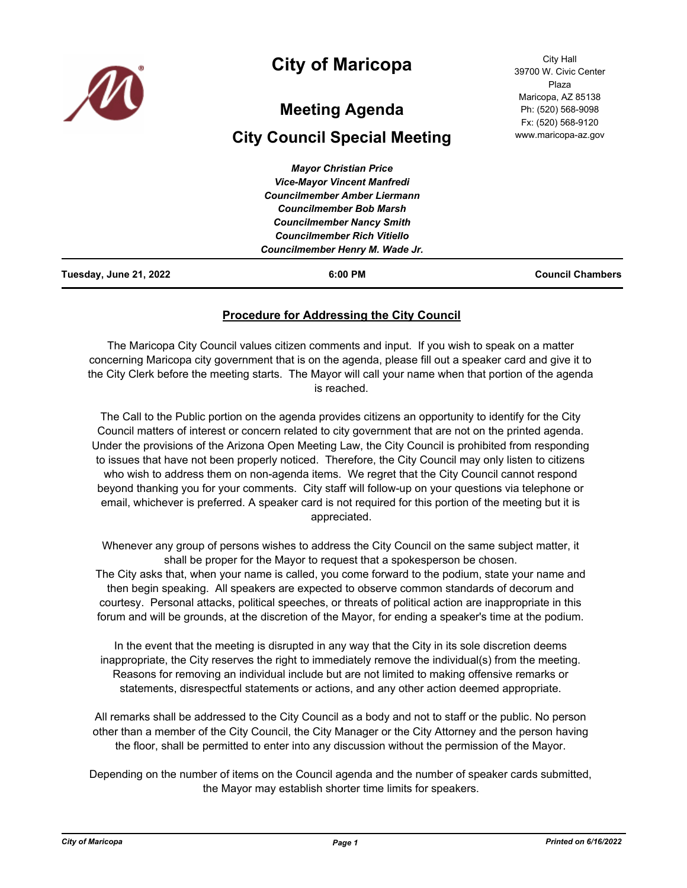

## **City of Maricopa**

# **Meeting Agenda**

## **City Council Special Meeting**

| Tuesday, June 21, 2022 | $6:00$ PM                           | <b>Council Chambers</b> |
|------------------------|-------------------------------------|-------------------------|
|                        | Councilmember Henry M. Wade Jr.     |                         |
|                        | <b>Councilmember Rich Vitiello</b>  |                         |
|                        | <b>Councilmember Nancy Smith</b>    |                         |
|                        | <b>Councilmember Bob Marsh</b>      |                         |
|                        | <b>Councilmember Amber Liermann</b> |                         |
|                        | <b>Vice-Mayor Vincent Manfredi</b>  |                         |
|                        | <b>Mayor Christian Price</b>        |                         |

### **Procedure for Addressing the City Council**

The Maricopa City Council values citizen comments and input. If you wish to speak on a matter concerning Maricopa city government that is on the agenda, please fill out a speaker card and give it to the City Clerk before the meeting starts. The Mayor will call your name when that portion of the agenda is reached.

The Call to the Public portion on the agenda provides citizens an opportunity to identify for the City Council matters of interest or concern related to city government that are not on the printed agenda. Under the provisions of the Arizona Open Meeting Law, the City Council is prohibited from responding to issues that have not been properly noticed. Therefore, the City Council may only listen to citizens who wish to address them on non-agenda items. We regret that the City Council cannot respond beyond thanking you for your comments. City staff will follow-up on your questions via telephone or email, whichever is preferred. A speaker card is not required for this portion of the meeting but it is appreciated.

Whenever any group of persons wishes to address the City Council on the same subject matter, it shall be proper for the Mayor to request that a spokesperson be chosen.

The City asks that, when your name is called, you come forward to the podium, state your name and then begin speaking. All speakers are expected to observe common standards of decorum and courtesy. Personal attacks, political speeches, or threats of political action are inappropriate in this forum and will be grounds, at the discretion of the Mayor, for ending a speaker's time at the podium.

In the event that the meeting is disrupted in any way that the City in its sole discretion deems inappropriate, the City reserves the right to immediately remove the individual(s) from the meeting. Reasons for removing an individual include but are not limited to making offensive remarks or statements, disrespectful statements or actions, and any other action deemed appropriate.

All remarks shall be addressed to the City Council as a body and not to staff or the public. No person other than a member of the City Council, the City Manager or the City Attorney and the person having the floor, shall be permitted to enter into any discussion without the permission of the Mayor.

Depending on the number of items on the Council agenda and the number of speaker cards submitted, the Mayor may establish shorter time limits for speakers.

City Hall 39700 W. Civic Center Plaza Maricopa, AZ 85138 Ph: (520) 568-9098 Fx: (520) 568-9120 www.maricopa-az.gov